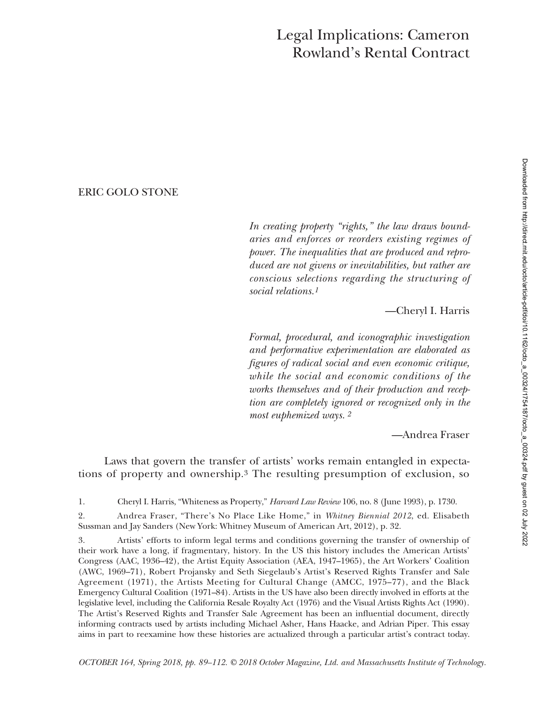# Legal Implications: Cameron Rowland's Rental Contract

# ERIC GoLo SToNE

*In creating property "rights," the law draws boundaries and enforces or reorders existing regimes of power. The inequalities that are produced and reproduced are not givens or inevitabilities, but rather are conscious selections regarding the structuring of social relations.1*

—Cheryl I. Harris

*Formal, procedural, and iconographic investigation and performative experimentation are elaborated as figures of radical social and even economic critique, while the social and economic conditions of the works themselves and of their production and reception are completely ignored or recognized only in the most euphemized ways. <sup>2</sup>*

—Andrea Fraser

Laws that govern the transfer of artists' works remain entangled in expectations of property and ownership.3 The resulting presumption of exclusion, so

1. Cheryl I. Harris, "Whiteness as Property," *Harvard Law Review* 106, no. 8 (June 1993), p. 1730.

2. Andrea Fraser, "There's No Place Like Home," in *Whitney Biennial 2012*, ed. Elisabeth Sussman and Jay Sanders (New York: Whitney Museum of American Art, 2012), p. 32.

3. Artists' efforts to inform legal terms and conditions governing the transfer of ownership of their work have a long, if fragmentary, history. In the US this history includes the American Artists' Congress (AAC, 1936–42), the Artist Equity Association (AEA, 1947–1965), the Art Workers' Coalition (AWC, 1969–71), Robert Projansky and Seth Siegelaub's Artist's Reserved Rights Transfer and Sale Agreement (1971), the Artists Meeting for Cultural Change (AMCC, 1975–77), and the Black Emergency Cultural Coalition (1971–84). Artists in the US have also been directly involved in efforts at the legislative level, including the California Resale Royalty Act (1976) and the Visual Artists Rights Act (1990). The Artist's Reserved Rights and Transfer Sale Agreement has been an influential document, directly informing contracts used by artists including Michael Asher, Hans Haacke, and Adrian Piper. This essay aims in part to reexamine how these histories are actualized through a particular artist's contract today.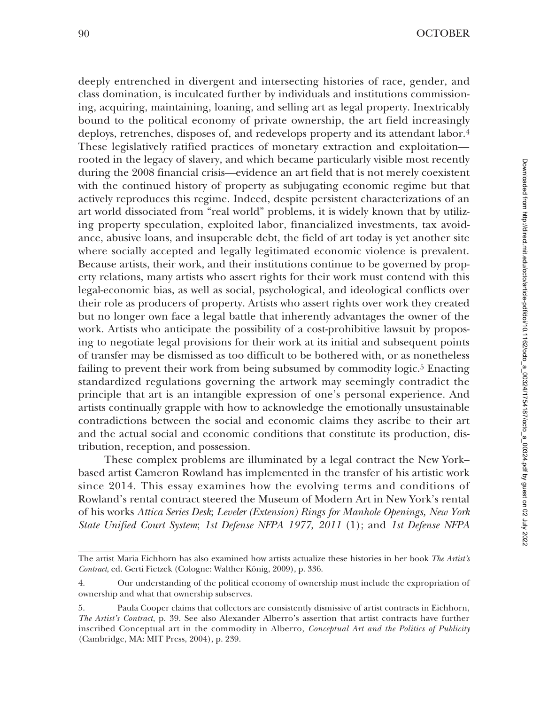deeply entrenched in divergent and intersecting histories of race, gender, and class domination, is inculcated further by individuals and institutions commissioning, acquiring, maintaining, loaning, and selling art as legal property. Inextricably bound to the political economy of private ownership, the art field increasingly deploys, retrenches, disposes of, and redevelops property and its attendant labor.4 These legislatively ratified practices of monetary extraction and exploitation rooted in the legacy of slavery, and which became particularly visible most recently during the 2008 financial crisis—evidence an art field that is not merely coexistent with the continued history of property as subjugating economic regime but that actively reproduces this regime. Indeed, despite persistent characterizations of an art world dissociated from "real world" problems, it is widely known that by utilizing property speculation, exploited labor, financialized investments, tax avoidance, abusive loans, and insuperable debt, the field of art today is yet another site where socially accepted and legally legitimated economic violence is prevalent. Because artists, their work, and their institutions continue to be governed by property relations, many artists who assert rights for their work must contend with this legal-economic bias, as well as social, psychological, and ideological conflicts over their role as producers of property. Artists who assert rights over work they created but no longer own face a legal battle that inherently advantages the owner of the work. Artists who anticipate the possibility of a cost-prohibitive lawsuit by proposing to negotiate legal provisions for their work at its initial and subsequent points of transfer may be dismissed as too difficult to be bothered with, or as nonetheless failing to prevent their work from being subsumed by commodity logic.<sup>5</sup> Enacting standardized regulations governing the artwork may seemingly contradict the principle that art is an intangible expression of one's personal experience. And artists continually grapple with how to acknowledge the emotionally unsustainable contradictions between the social and economic claims they ascribe to their art and the actual social and economic conditions that constitute its production, distribution, reception, and possession.

These complex problems are illuminated by a legal contract the New York– based artist Cameron Rowland has implemented in the transfer of his artistic work since 2014. This essay examines how the evolving terms and conditions of Rowland's rental contract steered the Museum of Modern Art in New York's rental of his works *Attica Series Desk*; *Leveler (Extension) Rings for Manhole Openings, New York State Unified Court System*; *1st Defense NFPA 1977, 2011* (1); and *1st Defense NFPA*

The artist Maria Eichhorn has also examined how artists actualize these histories in her book *The Artist's Contract*, ed. Gerti Fietzek (Cologne: Walther König, 2009), p. 336.

<sup>4.</sup> our understanding of the political economy of ownership must include the expropriation of ownership and what that ownership subserves.

<sup>5.</sup> Paula Cooper claims that collectors are consistently dismissive of artist contracts in Eichhorn, *The Artist's Contract*, p. 39. See also Alexander Alberro's assertion that artist contracts have further inscribed Conceptual art in the commodity in Alberro, *Conceptual Art and the Politics of Publicity* (Cambridge, MA: MIT Press, 2004), p. 239.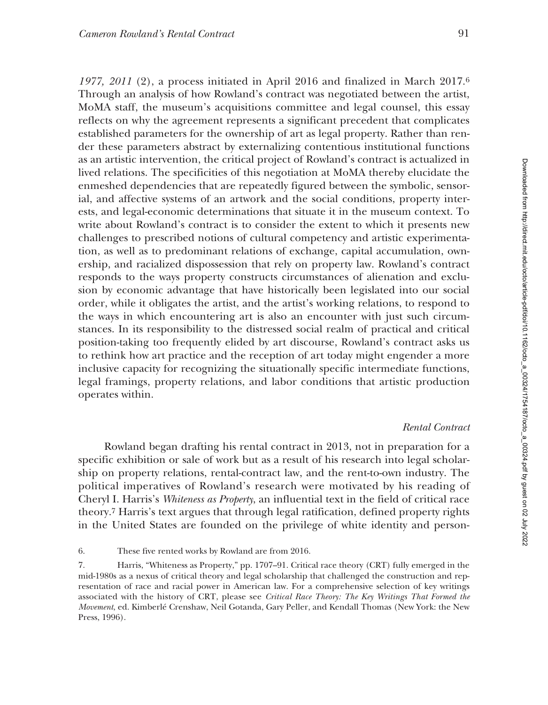*1977, 2011* (2), a process initiated in April 2016 and finalized in March 2017.6 Through an analysis of how Rowland's contract was negotiated between the artist, MoMA staff, the museum's acquisitions committee and legal counsel, this essay reflects on why the agreement represents a significant precedent that complicates established parameters for the ownership of art as legal property. Rather than render these parameters abstract by externalizing contentious institutional functions as an artistic intervention, the critical project of Rowland's contract is actualized in lived relations. The specificities of this negotiation at MoMA thereby elucidate the enmeshed dependencies that are repeatedly figured between the symbolic, sensorial, and affective systems of an artwork and the social conditions, property interests, and legal-economic determinations that situate it in the museum context. To write about Rowland's contract is to consider the extent to which it presents new challenges to prescribed notions of cultural competency and artistic experimentation, as well as to predominant relations of exchange, capital accumulation, ownership, and racialized dispossession that rely on property law. Rowland's contract responds to the ways property constructs circumstances of alienation and exclusion by economic advantage that have historically been legislated into our social order, while it obligates the artist, and the artist's working relations, to respond to the ways in which encountering art is also an encounter with just such circumstances. In its responsibility to the distressed social realm of practical and critical position-taking too frequently elided by art discourse, Rowland's contract asks us to rethink how art practice and the reception of art today might engender a more inclusive capacity for recognizing the situationally specific intermediate functions, legal framings, property relations, and labor conditions that artistic production operates within.

## *Rental Contract*

Rowland began drafting his rental contract in 2013, not in preparation for a specific exhibition or sale of work but as a result of his research into legal scholarship on property relations, rental-contract law, and the rent-to-own industry. The political imperatives of Rowland's research were motivated by his reading of Cheryl I. Harris's *Whiteness as Property*, an influential text in the field of critical race theory.7 Harris's text argues that through legal ratification, defined property rights in the United States are founded on the privilege of white identity and person-

<sup>6.</sup> These five rented works by Rowland are from 2016.

<sup>7.</sup> Harris, "Whiteness as Property," pp. 1707–91. Critical race theory (CRT) fully emerged in the mid-1980s as a nexus of critical theory and legal scholarship that challenged the construction and representation of race and racial power in American law. For a comprehensive selection of key writings associated with the history of CRT, please see *Critical Race Theory: The Key Writings That Formed the Movement*, ed. Kimberlé Crenshaw, Neil Gotanda, Gary Peller, and Kendall Thomas (New York: the New Press, 1996).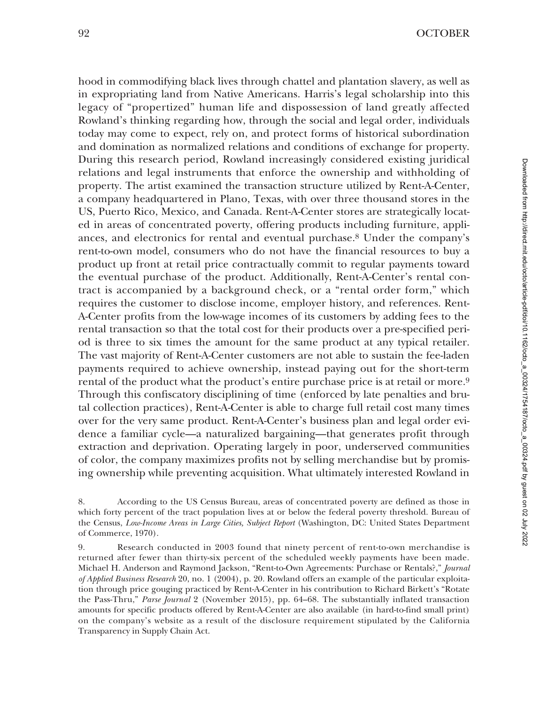92 oCTOBER

hood in commodifying black lives through chattel and plantation slavery, as well as in expropriating land from Native Americans. Harris's legal scholarship into this legacy of "propertized" human life and dispossession of land greatly affected Rowland's thinking regarding how, through the social and legal order, individuals today may come to expect, rely on, and protect forms of historical subordination and domination as normalized relations and conditions of exchange for property. During this research period, Rowland increasingly considered existing juridical relations and legal instruments that enforce the ownership and withholding of property. The artist examined the transaction structure utilized by Rent-A-Center, a company headquartered in Plano, Texas, with over three thousand stores in the US, Puerto Rico, Mexico, and Canada. Rent-A-Center stores are strategically located in areas of concentrated poverty, offering products including furniture, appliances, and electronics for rental and eventual purchase.8 Under the company's rent-to-own model, consumers who do not have the financial resources to buy a product up front at retail price contractually commit to regular payments toward the eventual purchase of the product. Additionally, Rent-A-Center's rental contract is accompanied by a background check, or a "rental order form," which requires the customer to disclose income, employer history, and references. Rent-A-Center profits from the low-wage incomes of its customers by adding fees to the rental transaction so that the total cost for their products over a pre-specified period is three to six times the amount for the same product at any typical retailer. The vast majority of Rent-A-Center customers are not able to sustain the fee-laden payments required to achieve ownership, instead paying out for the short-term rental of the product what the product's entire purchase price is at retail or more.9 Through this confiscatory disciplining of time (enforced by late penalties and brutal collection practices), Rent-A-Center is able to charge full retail cost many times over for the very same product. Rent-A-Center's business plan and legal order evidence a familiar cycle—a naturalized bargaining—that generates profit through extraction and deprivation. operating largely in poor, underserved communities of color, the company maximizes profits not by selling merchandise but by promising ownership while preventing acquisition. What ultimately interested Rowland in

8. According to the US Census Bureau, areas of concentrated poverty are defined as those in which forty percent of the tract population lives at or below the federal poverty threshold. Bureau of the Census, *Low-Income Areas in Large Cities, Subject Report* (Washington, DC: United States Department of Commerce, 1970).

9. Research conducted in 2003 found that ninety percent of rent-to-own merchandise is returned after fewer than thirty-six percent of the scheduled weekly payments have been made. Michael H. Anderson and Raymond Jackson, "Rent-to-own Agreements: Purchase or Rentals?," *Journal of Applied Business Research* 20, no. 1 (2004), p. 20. Rowland offers an example of the particular exploitation through price gouging practiced by Rent-A-Center in his contribution to Richard Birkett's "Rotate the Pass-Thru," *Parse Journal* 2 (November 2015), pp. 64–68. The substantially inflated transaction amounts for specific products offered by Rent-A-Center are also available (in hard-to-find small print) on the company's website as a result of the disclosure requirement stipulated by the California Transparency in Supply Chain Act.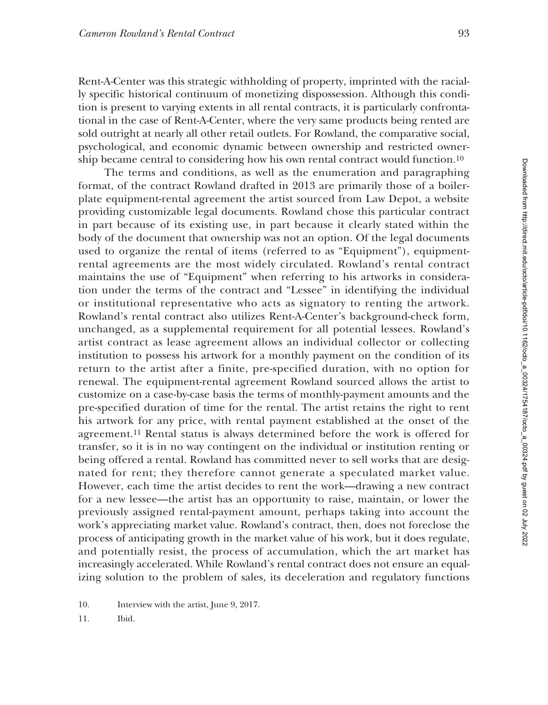Rent-A-Center was this strategic withholding of property, imprinted with the racially specific historical continuum of monetizing dispossession. Although this condition is present to varying extents in all rental contracts, it is particularly confrontational in the case of Rent-A-Center, where the very same products being rented are sold outright at nearly all other retail outlets. For Rowland, the comparative social, psychological, and economic dynamic between ownership and restricted ownership became central to considering how his own rental contract would function.<sup>10</sup>

The terms and conditions, as well as the enumeration and paragraphing format, of the contract Rowland drafted in 2013 are primarily those of a boilerplate equipment-rental agreement the artist sourced from Law Depot, a website providing customizable legal documents. Rowland chose this particular contract in part because of its existing use, in part because it clearly stated within the body of the document that ownership was not an option. of the legal documents used to organize the rental of items (referred to as "Equipment"), equipmentrental agreements are the most widely circulated. Rowland's rental contract maintains the use of "Equipment" when referring to his artworks in consideration under the terms of the contract and "Lessee" in identifying the individual or institutional representative who acts as signatory to renting the artwork. Rowland's rental contract also utilizes Rent-A-Center's background-check form, unchanged, as a supplemental requirement for all potential lessees. Rowland's artist contract as lease agreement allows an individual collector or collecting institution to possess his artwork for a monthly payment on the condition of its return to the artist after a finite, pre-specified duration, with no option for renewal. The equipment-rental agreement Rowland sourced allows the artist to customize on a case-by-case basis the terms of monthly-payment amounts and the pre-specified duration of time for the rental. The artist retains the right to rent his artwork for any price, with rental payment established at the onset of the agreement.11 Rental status is always determined before the work is offered for transfer, so it is in no way contingent on the individual or institution renting or being offered a rental. Rowland has committed never to sell works that are designated for rent; they therefore cannot generate a speculated market value. However, each time the artist decides to rent the work—drawing a new contract for a new lessee—the artist has an opportunity to raise, maintain, or lower the previously assigned rental-payment amount, perhaps taking into account the work's appreciating market value. Rowland's contract, then, does not foreclose the process of anticipating growth in the market value of his work, but it does regulate, and potentially resist, the process of accumulation, which the art market has increasingly accelerated. While Rowland's rental contract does not ensure an equalizing solution to the problem of sales, its deceleration and regulatory functions

11. Ibid.

<sup>10.</sup> Interview with the artist, June 9, 2017.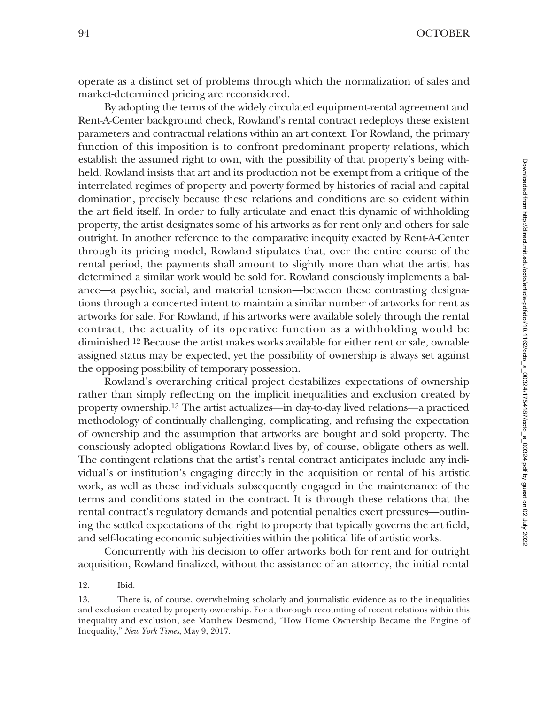By adopting the terms of the widely circulated equipment-rental agreement and Rent-A-Center background check, Rowland's rental contract redeploys these existent parameters and contractual relations within an art context. For Rowland, the primary function of this imposition is to confront predominant property relations, which establish the assumed right to own, with the possibility of that property's being withheld. Rowland insists that art and its production not be exempt from a critique of the interrelated regimes of property and poverty formed by histories of racial and capital domination, precisely because these relations and conditions are so evident within the art field itself. In order to fully articulate and enact this dynamic of withholding property, the artist designates some of his artworks as for rent only and others for sale outright. In another reference to the comparative inequity exacted by Rent-A-Center through its pricing model, Rowland stipulates that, over the entire course of the rental period, the payments shall amount to slightly more than what the artist has determined a similar work would be sold for. Rowland consciously implements a balance—a psychic, social, and material tension—between these contrasting designations through a concerted intent to maintain a similar number of artworks for rent as artworks for sale. For Rowland, if his artworks were available solely through the rental contract, the actuality of its operative function as a withholding would be diminished.12 Because the artist makes works available for either rent or sale, ownable assigned status may be expected, yet the possibility of ownership is always set against the opposing possibility of temporary possession.

Rowland's overarching critical project destabilizes expectations of ownership rather than simply reflecting on the implicit inequalities and exclusion created by property ownership.13 The artist actualizes—in day-to-day lived relations—a practiced methodology of continually challenging, complicating, and refusing the expectation of ownership and the assumption that artworks are bought and sold property. The consciously adopted obligations Rowland lives by, of course, obligate others as well. The contingent relations that the artist's rental contract anticipates include any individual's or institution's engaging directly in the acquisition or rental of his artistic work, as well as those individuals subsequently engaged in the maintenance of the terms and conditions stated in the contract. It is through these relations that the rental contract's regulatory demands and potential penalties exert pressures—outlining the settled expectations of the right to property that typically governs the art field, and self-locating economic subjectivities within the political life of artistic works.

Concurrently with his decision to offer artworks both for rent and for outright acquisition, Rowland finalized, without the assistance of an attorney, the initial rental

<sup>12.</sup> Ibid.

<sup>13.</sup> There is, of course, overwhelming scholarly and journalistic evidence as to the inequalities and exclusion created by property ownership. For a thorough recounting of recent relations within this inequality and exclusion, see Matthew Desmond, "How Home Ownership Became the Engine of Inequality," *New York Times*, May 9, 2017.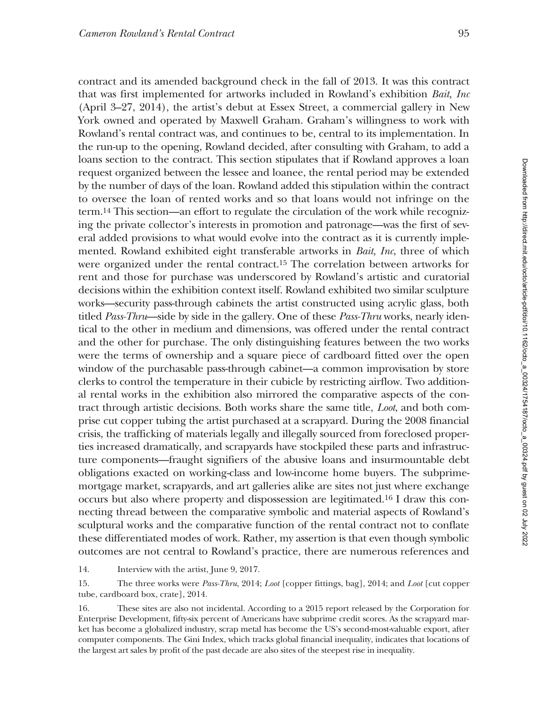contract and its amended background check in the fall of 2013. It was this contract that was first implemented for artworks included in Rowland's exhibition *Bait, Inc* (April 3–27, 2014), the artist's debut at Essex Street, a commercial gallery in New York owned and operated by Maxwell Graham. Graham's willingness to work with Rowland's rental contract was, and continues to be, central to its implementation. In the run-up to the opening, Rowland decided, after consulting with Graham, to add a loans section to the contract. This section stipulates that if Rowland approves a loan request organized between the lessee and loanee, the rental period may be extended by the number of days of the loan. Rowland added this stipulation within the contract to oversee the loan of rented works and so that loans would not infringe on the term.14 This section—an effort to regulate the circulation of the work while recognizing the private collector's interests in promotion and patronage—was the first of several added provisions to what would evolve into the contract as it is currently implemented. Rowland exhibited eight transferable artworks in *Bait, Inc*, three of which were organized under the rental contract.15 The correlation between artworks for rent and those for purchase was underscored by Rowland's artistic and curatorial decisions within the exhibition context itself. Rowland exhibited two similar sculpture works—security pass-through cabinets the artist constructed using acrylic glass, both titled *Pass-Thru*—side by side in the gallery. One of these *Pass-Thru* works, nearly identical to the other in medium and dimensions, was offered under the rental contract and the other for purchase. The only distinguishing features between the two works were the terms of ownership and a square piece of cardboard fitted over the open window of the purchasable pass-through cabinet—a common improvisation by store clerks to control the temperature in their cubicle by restricting airflow. Two additional rental works in the exhibition also mirrored the comparative aspects of the contract through artistic decisions. Both works share the same title, *Loot*, and both comprise cut copper tubing the artist purchased at a scrapyard. During the 2008 financial crisis, the trafficking of materials legally and illegally sourced from foreclosed properties increased dramatically, and scrapyards have stockpiled these parts and infrastructure components—fraught signifiers of the abusive loans and insurmountable debt obligations exacted on working-class and low-income home buyers. The subprimemortgage market, scrapyards, and art galleries alike are sites not just where exchange occurs but also where property and dispossession are legitimated.16 I draw this connecting thread between the comparative symbolic and material aspects of Rowland's sculptural works and the comparative function of the rental contract not to conflate these differentiated modes of work. Rather, my assertion is that even though symbolic outcomes are not central to Rowland's practice, there are numerous references and

14. Interview with the artist, June 9, 2017.

15. The three works were *Pass-Thru*, 2014; *Loot* [copper fittings, bag], 2014; and *Loot* [cut copper tube, cardboard box, crate], 2014.

16. These sites are also not incidental. According to a 2015 report released by the Corporation for Enterprise Development, fifty-six percent of Americans have subprime credit scores. As the scrapyard market has become a globalized industry, scrap metal has become the US's second-most-valuable export, after computer components. The Gini Index, which tracks global financial inequality, indicates that locations of the largest art sales by profit of the past decade are also sites of the steepest rise in inequality.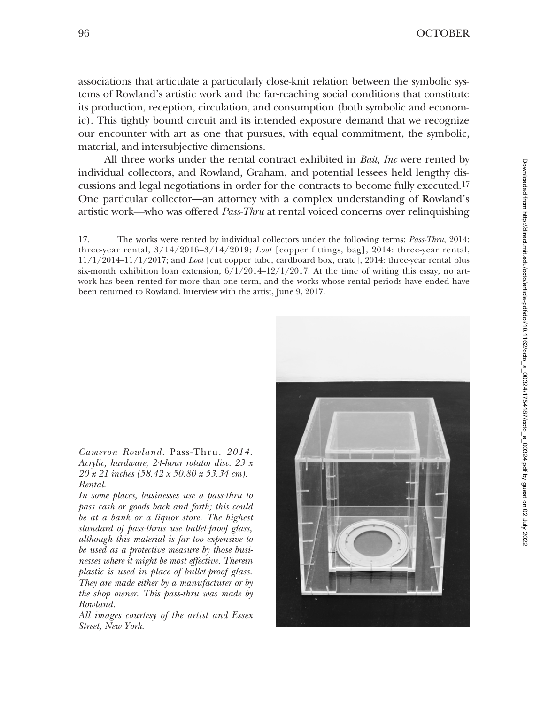associations that articulate a particularly close-knit relation between the symbolic systems of Rowland's artistic work and the far-reaching social conditions that constitute its production, reception, circulation, and consumption (both symbolic and economic). This tightly bound circuit and its intended exposure demand that we recognize our encounter with art as one that pursues, with equal commitment, the symbolic, material, and intersubjective dimensions.

All three works under the rental contract exhibited in *Bait, Inc* were rented by individual collectors, and Rowland, Graham, and potential lessees held lengthy discussions and legal negotiations in order for the contracts to become fully executed.17 one particular collector—an attorney with a complex understanding of Rowland's artistic work—who was offered *Pass-Thru* at rental voiced concerns over relinquishing

17. The works were rented by individual collectors under the following terms: *Pass-Thru*, 2014: three-year rental, 3/14/2016–3/14/2019; *Loot* [copper fittings, bag], 2014: three-year rental, 11/1/2014–11/1/2017; and *Loot* [cut copper tube, cardboard box, crate], 2014: three-year rental plus six-month exhibition loan extension,  $6/1/2014-12/1/2017$ . At the time of writing this essay, no artwork has been rented for more than one term, and the works whose rental periods have ended have been returned to Rowland. Interview with the artist, June 9, 2017.

*Cameron Rowland.* Pass-Thru*. 2014. Acrylic, hardware, 24-hour rotator disc. 23 x 20 x 21 inches (58.42 x 50.80 x 53.34 cm). Rental.*

*In some places, businesses use a pass-thru to pass cash or goods back and forth; this could be at a bank or a liquor store. The highest standard of pass-thrus use bullet-proof glass, although this material is far too expensive to be used as a protective measure by those businesses where it might be most effective. Therein plastic is used in place of bullet-proof glass. They are made either by a manufacturer or by the shop owner. This pass-thru was made by Rowland.*

*All images courtesy of the artist and Essex Street, New York.*

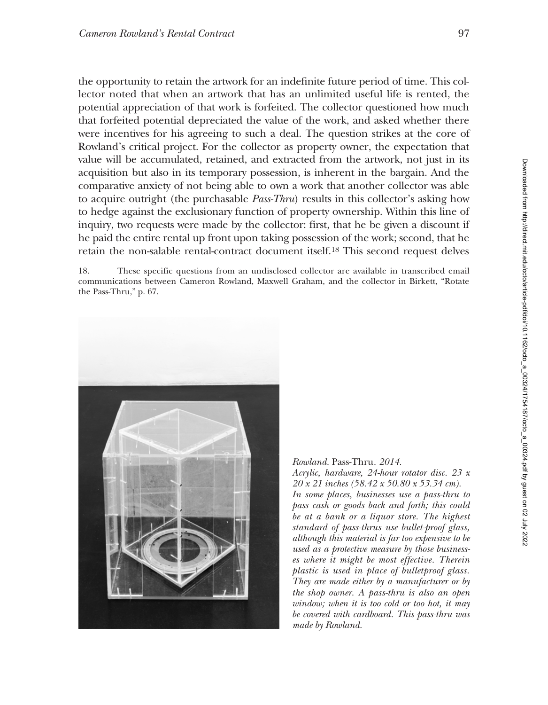the opportunity to retain the artwork for an indefinite future period of time. This collector noted that when an artwork that has an unlimited useful life is rented, the potential appreciation of that work is forfeited. The collector questioned how much that forfeited potential depreciated the value of the work, and asked whether there were incentives for his agreeing to such a deal. The question strikes at the core of Rowland's critical project. For the collector as property owner, the expectation that value will be accumulated, retained, and extracted from the artwork, not just in its acquisition but also in its temporary possession, is inherent in the bargain. And the comparative anxiety of not being able to own a work that another collector was able to acquire outright (the purchasable *Pass-Thru*) results in this collector's asking how to hedge against the exclusionary function of property ownership. Within this line of inquiry, two requests were made by the collector: first, that he be given a discount if he paid the entire rental up front upon taking possession of the work; second, that he retain the non-salable rental-contract document itself.18 This second request delves

18. These specific questions from an undisclosed collector are available in transcribed email communications between Cameron Rowland, Maxwell Graham, and the collector in Birkett, "Rotate the Pass-Thru," p. 67.



*Rowland.* Pass-Thru*. 2014. Acrylic, hardware, 24-hour rotator disc. 23 x 20 x 21 inches (58.42 x 50.80 x 53.34 cm). In some places, businesses use a pass-thru to pass cash or goods back and forth; this could be at a bank or a liquor store. The highest standard of pass-thrus use bullet-proof glass, although this material is far too expensive to be used as a protective measure by those businesses where it might be most effective. Therein plastic is used in place of bulletproof glass. They are made either by a manufacturer or by the shop owner. A pass-thru is also an open window; when it is too cold or too hot, it may be covered with cardboard. This pass-thru was made by Rowland.*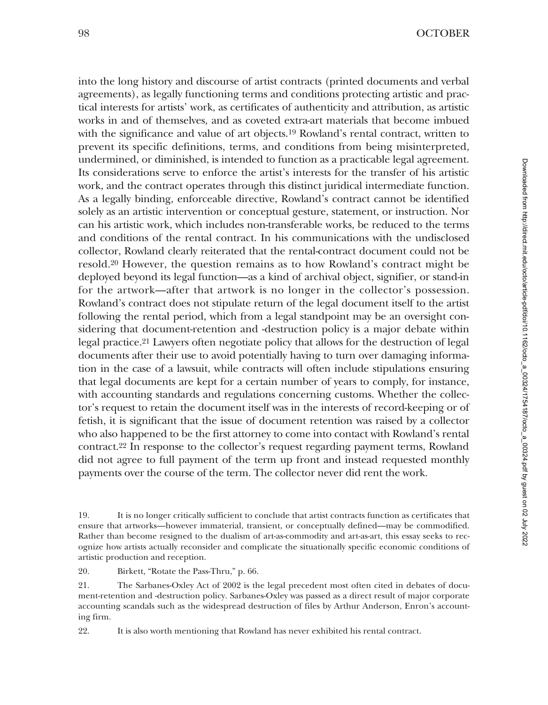98 oCTOBER

into the long history and discourse of artist contracts (printed documents and verbal agreements), as legally functioning terms and conditions protecting artistic and practical interests for artists' work, as certificates of authenticity and attribution, as artistic works in and of themselves, and as coveted extra-art materials that become imbued with the significance and value of art objects.<sup>19</sup> Rowland's rental contract, written to prevent its specific definitions, terms, and conditions from being misinterpreted, undermined, or diminished, is intended to function as a practicable legal agreement. Its considerations serve to enforce the artist's interests for the transfer of his artistic work, and the contract operates through this distinct juridical intermediate function. As a legally binding, enforceable directive, Rowland's contract cannot be identified solely as an artistic intervention or conceptual gesture, statement, or instruction. Nor can his artistic work, which includes non-transferable works, be reduced to the terms and conditions of the rental contract. In his communications with the undisclosed collector, Rowland clearly reiterated that the rental-contract document could not be resold.20 However, the question remains as to how Rowland's contract might be deployed beyond its legal function—as a kind of archival object, signifier, or stand-in for the artwork—after that artwork is no longer in the collector's possession. Rowland's contract does not stipulate return of the legal document itself to the artist following the rental period, which from a legal standpoint may be an oversight considering that document-retention and -destruction policy is a major debate within legal practice.21 Lawyers often negotiate policy that allows for the destruction of legal documents after their use to avoid potentially having to turn over damaging information in the case of a lawsuit, while contracts will often include stipulations ensuring that legal documents are kept for a certain number of years to comply, for instance, with accounting standards and regulations concerning customs. Whether the collector's request to retain the document itself was in the interests of record-keeping or of fetish, it is significant that the issue of document retention was raised by a collector who also happened to be the first attorney to come into contact with Rowland's rental contract.22 In response to the collector's request regarding payment terms, Rowland did not agree to full payment of the term up front and instead requested monthly payments over the course of the term. The collector never did rent the work.

20. Birkett, "Rotate the Pass-Thru," p. 66.

22. It is also worth mentioning that Rowland has never exhibited his rental contract.

<sup>19.</sup> It is no longer critically sufficient to conclude that artist contracts function as certificates that ensure that artworks—however immaterial, transient, or conceptually defined—may be commodified. Rather than become resigned to the dualism of art-as-commodity and art-as-art, this essay seeks to recognize how artists actually reconsider and complicate the situationally specific economic conditions of artistic production and reception.

<sup>21.</sup> The Sarbanes-oxley Act of 2002 is the legal precedent most often cited in debates of document-retention and -destruction policy. Sarbanes-oxley was passed as a direct result of major corporate accounting scandals such as the widespread destruction of files by Arthur Anderson, Enron's accounting firm.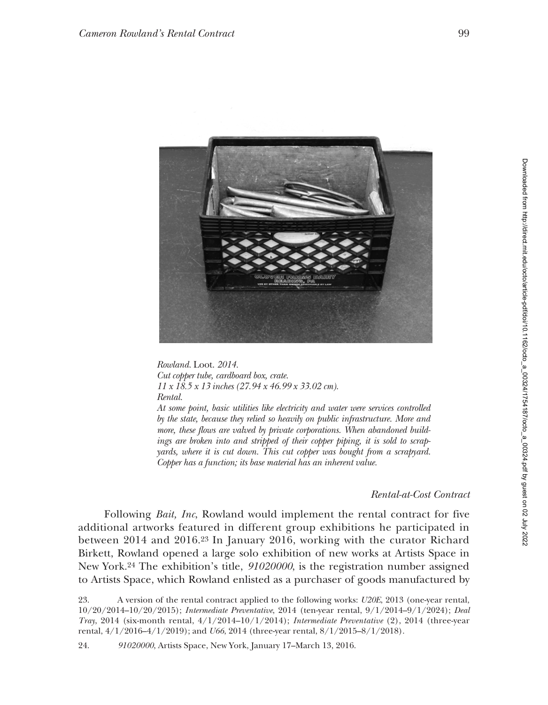

*Rowland.* Loot. *2014. Cut copper tube, cardboard box, crate. 11 x 18.5 x 13 inches (27.94 x 46.99 x 33.02 cm). Rental.*

*At some point, basic utilities like electricity and water were services controlled by the state, because they relied so heavily on public infrastructure. More and more, these flows are valved by private corporations. When abandoned buildings are broken into and stripped of their copper piping, it is sold to scrapyards, where it is cut down. This cut copper was bought from a scrapyard. Copper has a function; its base material has an inherent value.*

## *Rental-at-Cost Contract*

Following *Bait, Inc*, Rowland would implement the rental contract for five additional artworks featured in different group exhibitions he participated in between 2014 and 2016.23 In January 2016, working with the curator Richard Birkett, Rowland opened a large solo exhibition of new works at Artists Space in New York.24 The exhibition's title, *91020000*, is the registration number assigned to Artists Space, which Rowland enlisted as a purchaser of goods manufactured by

23. A version of the rental contract applied to the following works: *U20E*, 2013 (one-year rental, 10/20/2014–10/20/2015); *Intermediate Preventative*, 2014 (ten-year rental, 9/1/2014–9/1/2024); *Deal Tray*, 2014 (six-month rental, 4/1/2014–10/1/2014); *Intermediate Preventative* (2), 2014 (three-year rental, 4/1/2016–4/1/2019); and *U66*, 2014 (three-year rental, 8/1/2015–8/1/2018).

24. *91020000*, Artists Space, New York, January 17–March 13, 2016.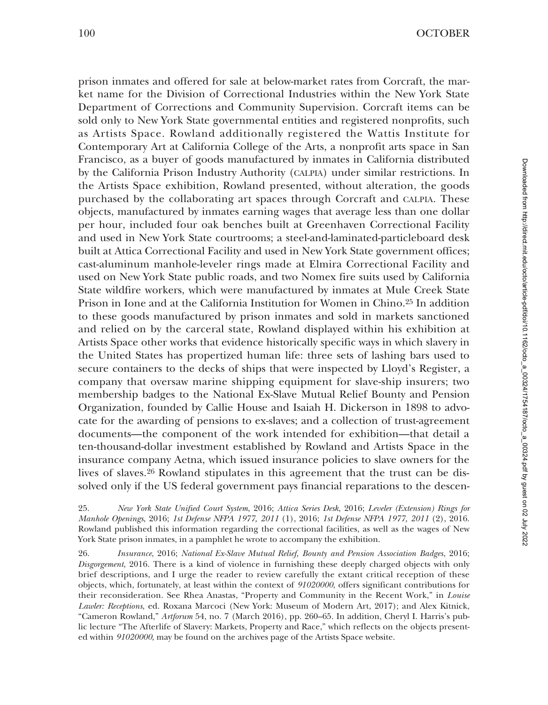prison inmates and offered for sale at below-market rates from Corcraft, the market name for the Division of Correctional Industries within the New York State Department of Corrections and Community Supervision. Corcraft items can be sold only to New York State governmental entities and registered nonprofits, such as Artists Space. Rowland additionally registered the Wattis Institute for Contemporary Art at California College of the Arts, a nonprofit arts space in San Francisco, as a buyer of goods manufactured by inmates in California distributed by the California Prison Industry Authority (CALPIA) under similar restrictions. In the Artists Space exhibition, Rowland presented, without alteration, the goods purchased by the collaborating art spaces through Corcraft and CALPIA. These objects, manufactured by inmates earning wages that average less than one dollar per hour, included four oak benches built at Greenhaven Correctional Facility and used in New York State courtrooms; a steel-and-laminated-particleboard desk built at Attica Correctional Facility and used in New York State government offices; cast-aluminum manhole-leveler rings made at Elmira Correctional Facility and used on New York State public roads, and two Nomex fire suits used by California State wildfire workers, which were manufactured by inmates at Mule Creek State Prison in Ione and at the California Institution for Women in Chino.25 In addition to these goods manufactured by prison inmates and sold in markets sanctioned and relied on by the carceral state, Rowland displayed within his exhibition at Artists Space other works that evidence historically specific ways in which slavery in the United States has propertized human life: three sets of lashing bars used to secure containers to the decks of ships that were inspected by Lloyd's Register, a company that oversaw marine shipping equipment for slave-ship insurers; two membership badges to the National Ex-Slave Mutual Relief Bounty and Pension Organization, founded by Callie House and Isaiah H. Dickerson in 1898 to advocate for the awarding of pensions to ex-slaves; and a collection of trust-agreement documents—the component of the work intended for exhibition—that detail a ten-thousand-dollar investment established by Rowland and Artists Space in the insurance company Aetna, which issued insurance policies to slave owners for the lives of slaves.26 Rowland stipulates in this agreement that the trust can be dissolved only if the US federal government pays financial reparations to the descen-

25. *New York State Unified Court System*, 2016; *Attica Series Desk*, 2016; *Leveler (Extension) Rings for Manhole Openings*, 2016; *1st Defense NFPA 1977, 2011* (1), 2016; *1st Defense NFPA 1977, 2011* (2), 2016. Rowland published this information regarding the correctional facilities, as well as the wages of New York State prison inmates, in a pamphlet he wrote to accompany the exhibition.

26. *Insurance*, 2016; *National Ex-Slave Mutual Relief, Bounty and Pension Association Badges*, 2016; *Disgorgement*, 2016. There is a kind of violence in furnishing these deeply charged objects with only brief descriptions, and I urge the reader to review carefully the extant critical reception of these objects, which, fortunately, at least within the context of *91020000*, offers significant contributions for their reconsideration. See Rhea Anastas, "Property and Community in the Recent Work," in *Louise Lawler: Receptions*, ed. Roxana Marcoci (New York: Museum of Modern Art, 2017); and Alex Kitnick, "Cameron Rowland," *Artforum* 54, no. 7 (March 2016), pp. 260–65. In addition, Cheryl I. Harris's public lecture "The Afterlife of Slavery: Markets, Property and Race," which reflects on the objects presented within *91020000*, may be found on the archives page of the Artists Space website.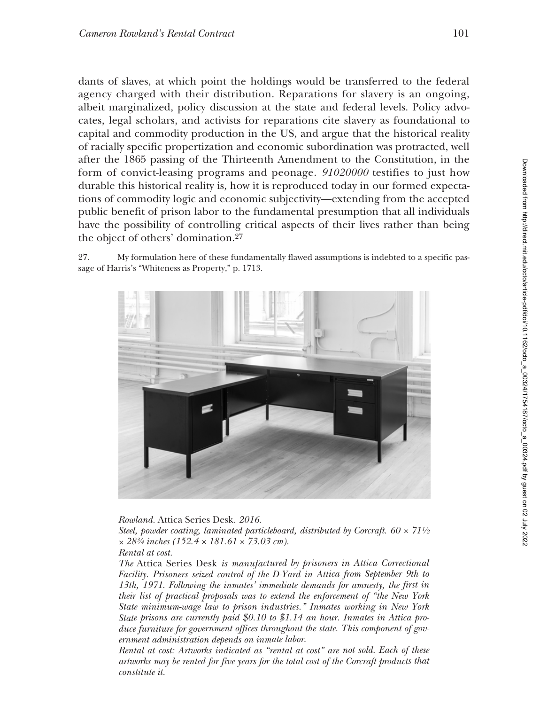dants of slaves, at which point the holdings would be transferred to the federal agency charged with their distribution. Reparations for slavery is an ongoing, albeit marginalized, policy discussion at the state and federal levels. Policy advocates, legal scholars, and activists for reparations cite slavery as foundational to capital and commodity production in the US, and argue that the historical reality of racially specific propertization and economic subordination was protracted, well after the 1865 passing of the Thirteenth Amendment to the Constitution, in the form of convict-leasing programs and peonage. *91020000* testifies to just how durable this historical reality is, how it is reproduced today in our formed expectations of commodity logic and economic subjectivity—extending from the accepted public benefit of prison labor to the fundamental presumption that all individuals have the possibility of controlling critical aspects of their lives rather than being the object of others' domination.27

27. My formulation here of these fundamentally flawed assumptions is indebted to a specific passage of Harris's "Whiteness as Property," p. 1713.



*Rowland.* Attica Series Desk*. 2016. Steel, powder coating, laminated particleboard, distributed by Corcraft. 60 × 71½ × 28¾ inches (152.4 × 181.61 × 73.03 cm). Rental at cost.* 

*The* Attica Series Desk *is manufactured by prisoners in Attica Correctional Facility. Prisoners seized control of the D-Yard in Attica from September 9th to 13th, 1971. Following the inmates' immediate demands for amnesty, the first in their list of practical proposals was to extend the enforcement of "the New York State minimum-wage law to prison industries." Inmates working in New York State prisons are currently paid \$0.10 to \$1.14 an hour. Inmates in Attica produce furniture for government offices throughout the state. This component of government administration depends on inmate labor.*

*Rental at cost: Artworks indicated as "rental at cost" are not sold. Each of these artworks may be rented for five years for the total cost of the Corcraft products that constitute it.*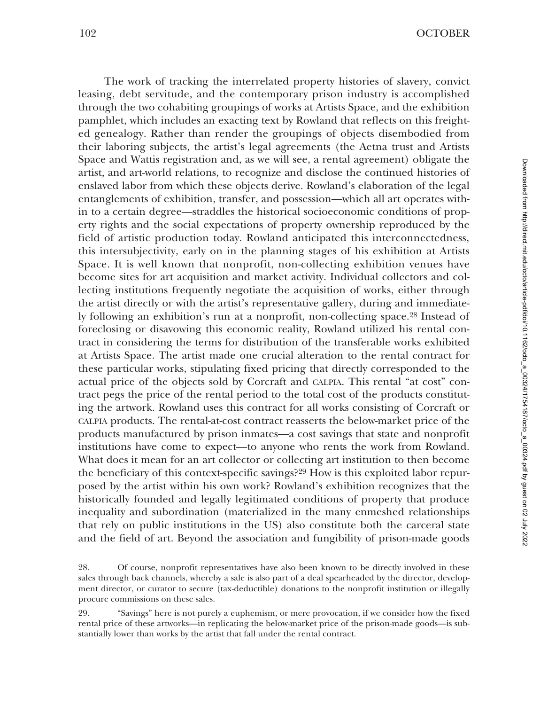The work of tracking the interrelated property histories of slavery, convict leasing, debt servitude, and the contemporary prison industry is accomplished through the two cohabiting groupings of works at Artists Space, and the exhibition pamphlet, which includes an exacting text by Rowland that reflects on this freighted genealogy. Rather than render the groupings of objects disembodied from their laboring subjects, the artist's legal agreements (the Aetna trust and Artists Space and Wattis registration and, as we will see, a rental agreement) obligate the artist, and art-world relations, to recognize and disclose the continued histories of enslaved labor from which these objects derive. Rowland's elaboration of the legal entanglements of exhibition, transfer, and possession—which all art operates within to a certain degree—straddles the historical socioeconomic conditions of property rights and the social expectations of property ownership reproduced by the field of artistic production today. Rowland anticipated this interconnectedness, this intersubjectivity, early on in the planning stages of his exhibition at Artists Space. It is well known that nonprofit, non-collecting exhibition venues have become sites for art acquisition and market activity. Individual collectors and collecting institutions frequently negotiate the acquisition of works, either through the artist directly or with the artist's representative gallery, during and immediately following an exhibition's run at a nonprofit, non-collecting space.28 Instead of foreclosing or disavowing this economic reality, Rowland utilized his rental contract in considering the terms for distribution of the transferable works exhibited at Artists Space. The artist made one crucial alteration to the rental contract for these particular works, stipulating fixed pricing that directly corresponded to the actual price of the objects sold by Corcraft and CALPIA. This rental "at cost" contract pegs the price of the rental period to the total cost of the products constituting the artwork. Rowland uses this contract for all works consisting of Corcraft or CALPIA products. The rental-at-cost contract reasserts the below-market price of the products manufactured by prison inmates—a cost savings that state and nonprofit institutions have come to expect—to anyone who rents the work from Rowland. What does it mean for an art collector or collecting art institution to then become the beneficiary of this context-specific savings?29 How is this exploited labor repurposed by the artist within his own work? Rowland's exhibition recognizes that the historically founded and legally legitimated conditions of property that produce inequality and subordination (materialized in the many enmeshed relationships that rely on public institutions in the US) also constitute both the carceral state and the field of art. Beyond the association and fungibility of prison-made goods

<sup>28.</sup> of course, nonprofit representatives have also been known to be directly involved in these sales through back channels, whereby a sale is also part of a deal spearheaded by the director, development director, or curator to secure (tax-deductible) donations to the nonprofit institution or illegally procure commissions on these sales.

<sup>29. &</sup>quot;Savings" here is not purely a euphemism, or mere provocation, if we consider how the fixed rental price of these artworks—in replicating the below-market price of the prison-made goods—is substantially lower than works by the artist that fall under the rental contract.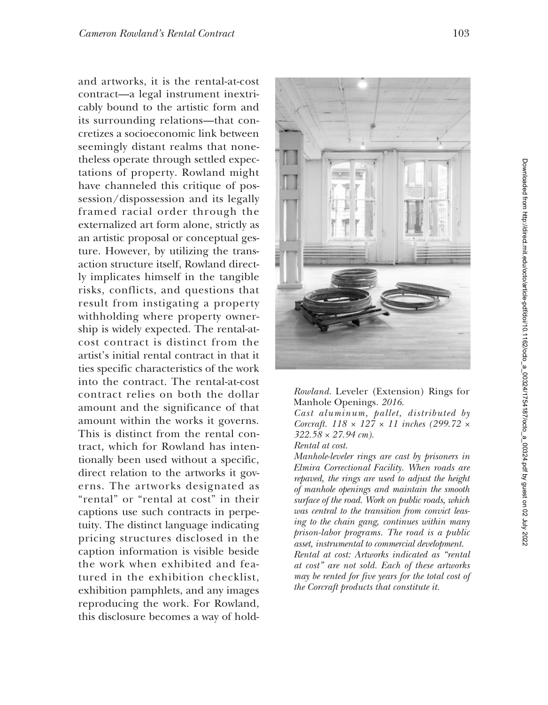and artworks, it is the rental-at-cost contract—a legal instrument inextricably bound to the artistic form and its surrounding relations—that concretizes a socioeconomic link be tween seemingly distant realms that nonetheless operate through settled expectations of property. Rowland might have channeled this critique of possession/dispossession and its legally framed racial order through the externalized art form alone, strictly as an artistic proposal or conceptual gesture. However, by utilizing the transaction structure itself, Rowland directly implicates himself in the tangible risks, conflicts, and questions that result from instigating a property withholding where property ownership is widely expected. The rental-atcost contract is distinct from the artist's initial rental contract in that it ties specific characteristics of the work into the contract. The rental-at-cost contract relies on both the dollar amount and the significance of that amount within the works it governs. This is distinct from the rental contract, which for Rowland has intentionally been used without a specific, direct relation to the artworks it governs. The artworks designated as "rental" or "rental at cost" in their captions use such contracts in perpetuity. The distinct language indicating pricing structures disclosed in the caption information is visible beside the work when exhibited and featured in the exhibition checklist, exhibition pamphlets, and any images reproducing the work. For Rowland, this disclosure becomes a way of hold-



*Rowland.* Leveler (Extension) Rings for Manhole openings*. 2016.* 

*Cast aluminum, pallet, distributed by Corcraft. 118 × 127 × 11 inches (299.72 × 322.58 × 27.94 cm).* 

*Rental at cost.*

*Manhole-leveler rings are cast by prisoners in Elmira Correctional Facility. When roads are repaved, the rings are used to adjust the height of manhole openings and maintain the smooth surface of the road. Work on public roads, which was central to the transition from convict leasing to the chain gang, continues within many prison-labor programs. The road is a public asset, instrumental to commercial development. Rental at cost: Artworks indicated as "rental at cost" are not sold. Each of these artworks may be rented for five years for the total cost of the Corcraft products that constitute it.*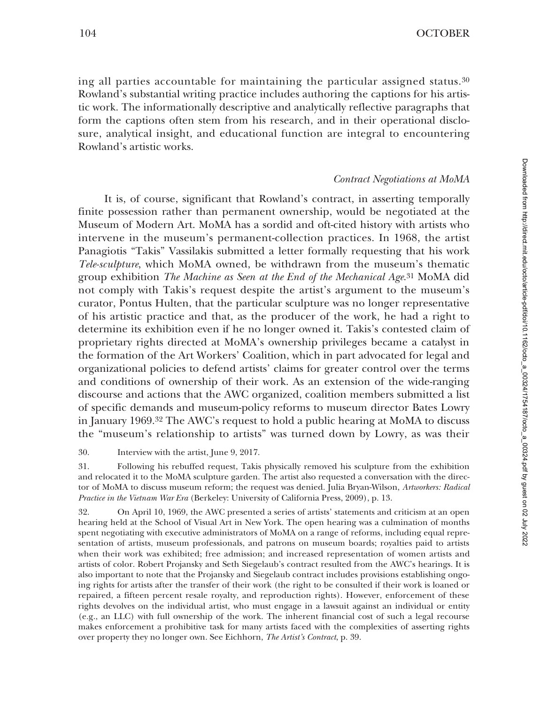ing all parties accountable for maintaining the particular assigned status.<sup>30</sup> Rowland's substantial writing practice includes authoring the captions for his artistic work. The informationally descriptive and analytically reflective paragraphs that form the captions often stem from his research, and in their operational disclosure, analytical insight, and educational function are integral to encountering Rowland's artistic works.

#### *Contract Negotiations at MoMA*

It is, of course, significant that Rowland's contract, in asserting temporally finite possession rather than permanent ownership, would be negotiated at the Museum of Modern Art. MoMA has a sordid and oft-cited history with artists who intervene in the museum's permanent-collection practices. In 1968, the artist Panagiotis "Takis" Vassilakis submitted a letter formally requesting that his work *Tele-sculpture*, which MoMA owned, be withdrawn from the museum's thematic group exhibition *The Machine as Seen at the End of the Mechanical Age*.31 MoMA did not comply with Takis's request despite the artist's argument to the museum's curator, Pontus Hulten, that the particular sculpture was no longer representative of his artistic practice and that, as the producer of the work, he had a right to determine its exhibition even if he no longer owned it. Takis's contested claim of proprietary rights directed at MoMA's ownership privileges became a catalyst in the formation of the Art Workers' Coalition, which in part advocated for legal and organizational policies to defend artists' claims for greater control over the terms and conditions of ownership of their work. As an extension of the wide-ranging discourse and actions that the AWC organized, coalition members submitted a list of specific demands and museum-policy reforms to museum director Bates Lowry in January 1969.32 The AWC's request to hold a public hearing at MoMA to discuss the "museum's relationship to artists" was turned down by Lowry, as was their

30. Interview with the artist, June 9, 2017.

31. Following his rebuffed request, Takis physically removed his sculpture from the exhibition and relocated it to the MoMA sculpture garden. The artist also requested a conversation with the director of MoMA to discuss museum reform; the request was denied. Julia Bryan-Wilson, *Artworkers: Radical Practice in the Vietnam War Era* (Berkeley: University of California Press, 2009), p. 13.

32. on April 10, 1969, the AWC presented a series of artists' statements and criticism at an open hearing held at the School of Visual Art in New York. The open hearing was a culmination of months spent negotiating with executive administrators of MoMA on a range of reforms, including equal representation of artists, museum professionals, and patrons on museum boards; royalties paid to artists when their work was exhibited; free admission; and increased representation of women artists and artists of color. Robert Projansky and Seth Siegelaub's contract resulted from the AWC's hearings. It is also important to note that the Projansky and Siegelaub contract includes provisions establishing ongoing rights for artists after the transfer of their work (the right to be consulted if their work is loaned or repaired, a fifteen percent resale royalty, and reproduction rights). However, enforcement of these rights devolves on the individual artist, who must engage in a lawsuit against an individual or entity (e.g., an LLC) with full ownership of the work. The inherent financial cost of such a legal recourse makes enforcement a prohibitive task for many artists faced with the complexities of asserting rights over property they no longer own. See Eichhorn, *The Artist's Contract*, p. 39.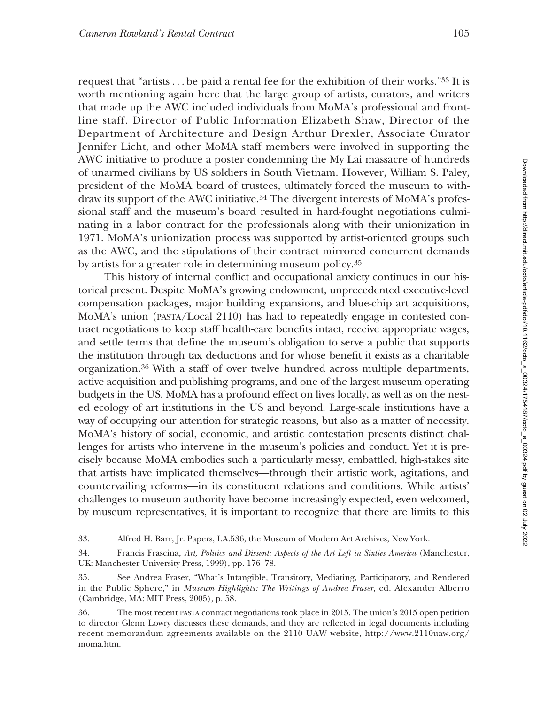request that "artists . . . be paid a rental fee for the exhibition of their works."33 It is worth mentioning again here that the large group of artists, curators, and writers that made up the AWC included individuals from MoMA's professional and frontline staff. Director of Public Information Elizabeth Shaw, Director of the Department of Architecture and Design Arthur Drexler, Associate Curator Jennifer Licht, and other MoMA staff members were involved in supporting the AWC initiative to produce a poster condemning the My Lai massacre of hundreds of unarmed civilians by US soldiers in South Vietnam. However, William S. Paley, president of the MoMA board of trustees, ultimately forced the museum to withdraw its support of the AWC initiative.34 The divergent interests of MoMA's professional staff and the museum's board resulted in hard-fought negotiations culminating in a labor contract for the professionals along with their unionization in 1971. MoMA's unionization process was supported by artist-oriented groups such as the AWC, and the stipulations of their contract mirrored concurrent demands by artists for a greater role in determining museum policy.35

This history of internal conflict and occupational anxiety continues in our historical present. Despite MoMA's growing endowment, unprecedented executive-level compensation packages, major building expansions, and blue-chip art acquisitions, MoMA's union (PASTA/Local 2110) has had to repeatedly engage in contested contract negotiations to keep staff health-care benefits intact, receive appropriate wages, and settle terms that define the museum's obligation to serve a public that supports the institution through tax deductions and for whose benefit it exists as a charitable organization.36 With a staff of over twelve hundred across multiple departments, active acquisition and publishing programs, and one of the largest museum operating budgets in the US, MoMA has a profound effect on lives locally, as well as on the nested ecology of art institutions in the US and beyond. Large-scale institutions have a way of occupying our attention for strategic reasons, but also as a matter of necessity. MoMA's history of social, economic, and artistic contestation presents distinct challenges for artists who intervene in the museum's policies and conduct. Yet it is precisely because MoMA embodies such a particularly messy, embattled, high-stakes site that artists have implicated themselves—through their artistic work, agitations, and countervailing reforms—in its constituent relations and conditions. While artists' challenges to museum authority have become increasingly expected, even welcomed, by museum representatives, it is important to recognize that there are limits to this

<sup>33.</sup> Alfred H. Barr, Jr. Papers, I.A.536, the Museum of Modern Art Archives, New York.

<sup>34.</sup> Francis Frascina, *Art, Politics and Dissent: Aspects of the Art Left in Sixties America* (Manchester, UK: Manchester University Press, 1999), pp. 176–78.

<sup>35.</sup> See Andrea Fraser, "What's Intangible, Transitory, Mediating, Participatory, and Rendered in the Public Sphere," in *Museum Highlights: The Writings of Andrea Fraser*, ed. Alexander Alberro (Cambridge, MA: MIT Press, 2005), p. 58.

<sup>36.</sup> The most recent PASTA contract negotiations took place in 2015. The union's 2015 open petition to director Glenn Lowry discusses these demands, and they are reflected in legal documents including recent memorandum agreements available on the 2110 UAW website, http://www.2110uaw.org/ moma.htm.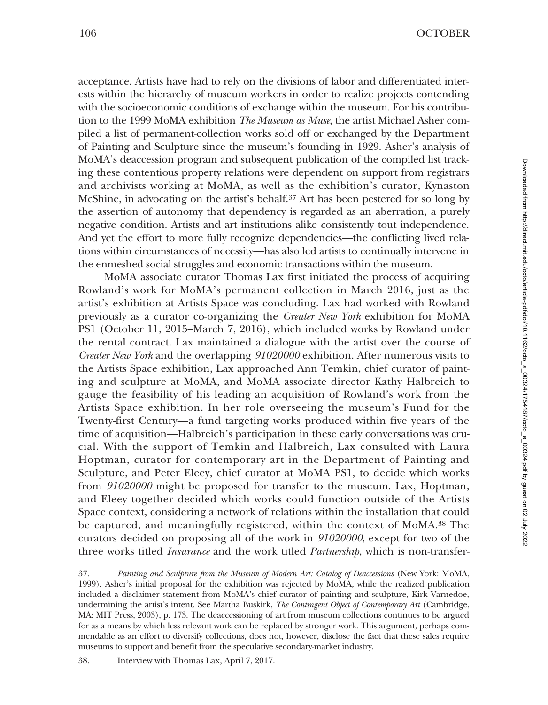acceptance. Artists have had to rely on the divisions of labor and differentiated interests within the hierarchy of museum workers in order to realize projects contending with the socioeconomic conditions of exchange within the museum. For his contribution to the 1999 MoMA exhibition *The Museum as Muse*, the artist Michael Asher compiled a list of permanent-collection works sold off or exchanged by the Department of Painting and Sculpture since the museum's founding in 1929. Asher's analysis of MoMA's deaccession program and subsequent publication of the compiled list tracking these contentious property relations were dependent on support from registrars and archivists working at MoMA, as well as the exhibition's curator, Kynaston McShine, in advocating on the artist's behalf.<sup>37</sup> Art has been pestered for so long by the assertion of autonomy that dependency is regarded as an aberration, a purely negative condition. Artists and art institutions alike consistently tout independence. And yet the effort to more fully recognize dependencies—the conflicting lived relations within circumstances of necessity—has also led artists to continually intervene in the enmeshed social struggles and economic transactions within the museum.

MoMA associate curator Thomas Lax first initiated the process of acquiring Rowland's work for MoMA's permanent collection in March 2016, just as the artist's exhibition at Artists Space was concluding. Lax had worked with Rowland previously as a curator co-organizing the *Greater New York* exhibition for MoMA PS1 (October 11, 2015–March 7, 2016), which included works by Rowland under the rental contract. Lax maintained a dialogue with the artist over the course of *Greater New York* and the overlapping *91020000* exhibition. After numerous visits to the Artists Space exhibition, Lax approached Ann Temkin, chief curator of painting and sculpture at MoMA, and MoMA associate director Kathy Halbreich to gauge the feasibility of his leading an acquisition of Rowland's work from the Artists Space exhibition. In her role overseeing the museum's Fund for the Twenty-first Century—a fund targeting works produced within five years of the time of acquisition—Halbreich's participation in these early conversations was crucial. With the support of Temkin and Halbreich, Lax consulted with Laura Hoptman, curator for contemporary art in the Department of Painting and Sculpture, and Peter Eleey, chief curator at MoMA PS1, to decide which works from *91020000* might be proposed for transfer to the museum. Lax, Hoptman, and Eleey together decided which works could function outside of the Artists Space context, considering a network of relations within the installation that could be captured, and meaningfully registered, within the context of MoMA.38 The curators decided on proposing all of the work in *91020000*, except for two of the three works titled *Insurance* and the work titled *Partnership*, which is non-transfer-

37. *Painting and Sculpture from the Museum of Modern Art: Catalog of Deaccessions*  (New York: MoMA, 1999). Asher's initial proposal for the exhibition was rejected by MoMA, while the realized publication included a disclaimer statement from MoMA's chief curator of painting and sculpture, Kirk Varnedoe, undermining the artist's intent. See Martha Buskirk, *The Contingent Object of Contemporary Art* (Cambridge, MA: MIT Press, 2003), p. 173. The deaccessioning of art from museum collections continues to be argued for as a means by which less relevant work can be replaced by stronger work. This argument, perhaps commendable as an effort to diversify collections, does not, however, disclose the fact that these sales require museums to support and benefit from the speculative secondary-market industry.

38. Interview with Thomas Lax, April 7, 2017.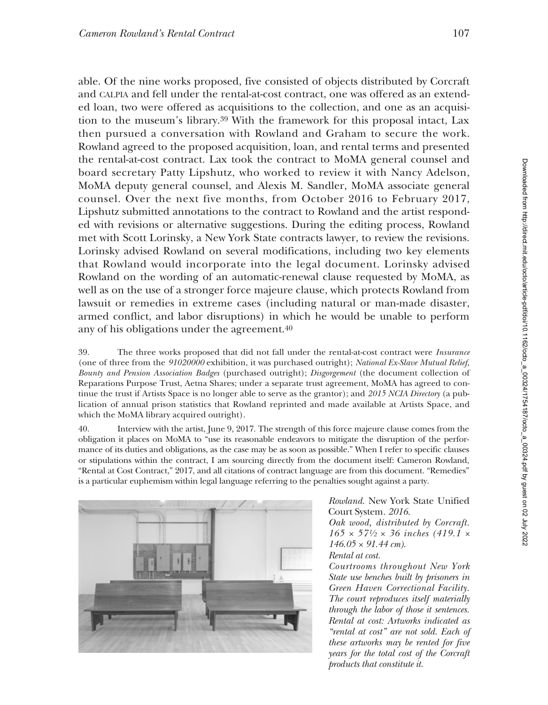able. of the nine works proposed, five consisted of objects distributed by Corcraft and CALPIA and fell under the rental-at-cost contract, one was offered as an extended loan, two were offered as acquisitions to the collection, and one as an acquisition to the museum's library.39 With the framework for this proposal intact, Lax then pursued a conversation with Rowland and Graham to secure the work. Rowland agreed to the proposed acquisition, loan, and rental terms and presented the rental-at-cost contract. Lax took the contract to MoMA general counsel and board secretary Patty Lipshutz, who worked to review it with Nancy Adelson, MoMA deputy general counsel, and Alexis M. Sandler, MoMA associate general counsel. Over the next five months, from October 2016 to February 2017, Lipshutz submitted annotations to the contract to Rowland and the artist responded with revisions or alternative suggestions. During the editing process, Rowland met with Scott Lorinsky, a New York State contracts lawyer, to review the revisions. Lorinsky advised Rowland on several modifications, including two key elements that Rowland would incorporate into the legal document. Lorinsky advised Rowland on the wording of an automatic-renewal clause requested by MoMA, as well as on the use of a stronger force majeure clause, which protects Rowland from lawsuit or remedies in extreme cases (including natural or man-made disaster, armed conflict, and labor disruptions) in which he would be unable to perform any of his obligations under the agreement.40

39. The three works proposed that did not fall under the rental-at-cost contract were *Insurance* (one of three from the *91020000* exhibition, it was purchased outright); *National Ex-Slave Mutual Relief, Bounty and Pension Association Badges* (purchased outright); *Disgorgement* (the document collection of Reparations Purpose Trust, Aetna Shares; under a separate trust agreement, MoMA has agreed to continue the trust if Artists Space is no longer able to serve as the grantor); and *2015 NCIA Directory* (a publication of annual prison statistics that Rowland reprinted and made available at Artists Space, and which the MoMA library acquired outright).

40. Interview with the artist, June 9, 2017. The strength of this force majeure clause comes from the obligation it places on MoMA to "use its reasonable endeavors to mitigate the disruption of the performance of its duties and obligations, as the case may be as soon as possible." When I refer to specific clauses or stipulations within the contract, I am sourcing directly from the document itself: Cameron Rowland, "Rental at Cost Contract," 2017, and all citations of contract language are from this document. "Remedies" is a particular euphemism within legal language referring to the penalties sought against a party.



## *Rowland.* New York State Unified Court System*. 2016. Oak wood, distributed by Corcraft.*

*165 × 57½ × 36 inches (419.1 × 146.05 × 91.44 cm). Rental at cost.* 

*Courtrooms throughout New York State use benches built by prisoners in Green Haven Correctional Facility. The court reproduces itself materially through the labor of those it sentences. Rental at cost: Artworks indicated as "rental at cost" are not sold. Each of these artworks may be rented for five years for the total cost of the Corcraft products that constitute it.*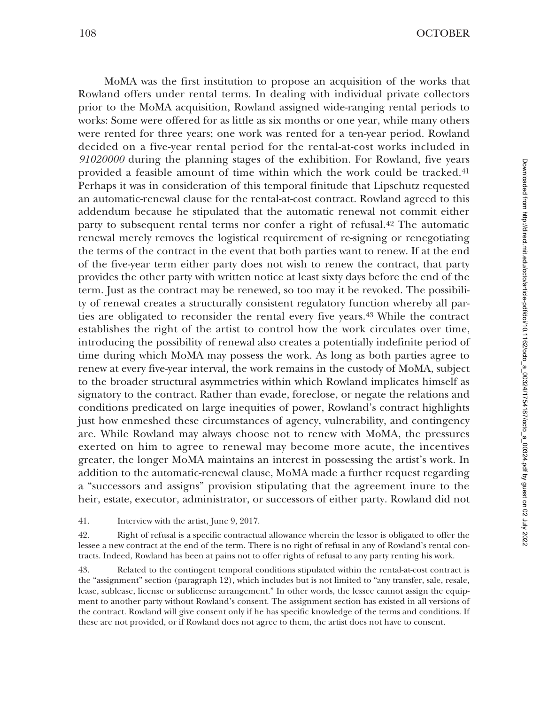MoMA was the first institution to propose an acquisition of the works that Rowland offers under rental terms. In dealing with individual private collectors prior to the MoMA acquisition, Rowland assigned wide-ranging rental periods to works: Some were offered for as little as six months or one year, while many others were rented for three years; one work was rented for a ten-year period. Rowland decided on a five-year rental period for the rental-at-cost works included in *91020000* during the planning stages of the exhibition. For Rowland, five years provided a feasible amount of time within which the work could be tracked.41 Perhaps it was in consideration of this temporal finitude that Lipschutz requested an automatic-renewal clause for the rental-at-cost contract. Rowland agreed to this addendum because he stipulated that the automatic renewal not commit either party to subsequent rental terms nor confer a right of refusal.42 The automatic renewal merely removes the logistical requirement of re-signing or renegotiating the terms of the contract in the event that both parties want to renew. If at the end of the five-year term either party does not wish to renew the contract, that party provides the other party with written notice at least sixty days before the end of the term. Just as the contract may be renewed, so too may it be revoked. The possibility of renewal creates a structurally consistent regulatory function whereby all parties are obligated to reconsider the rental every five years.43 While the contract establishes the right of the artist to control how the work circulates over time, introducing the possibility of renewal also creates a potentially indefinite period of time during which MoMA may possess the work. As long as both parties agree to renew at every five-year interval, the work remains in the custody of MoMA, subject to the broader structural asymmetries within which Rowland implicates himself as signatory to the contract. Rather than evade, foreclose, or negate the relations and conditions predicated on large inequities of power, Rowland's contract highlights just how enmeshed these circumstances of agency, vulnerability, and contingency are. While Rowland may always choose not to renew with MoMA, the pressures exerted on him to agree to renewal may become more acute, the incentives greater, the longer MoMA maintains an interest in possessing the artist's work. In addition to the automatic-renewal clause, MoMA made a further request regarding a "successors and assigns" provision stipulating that the agreement inure to the heir, estate, executor, administrator, or successors of either party. Rowland did not

41. Interview with the artist, June 9, 2017.

42. Right of refusal is a specific contractual allowance wherein the lessor is obligated to offer the lessee a new contract at the end of the term. There is no right of refusal in any of Rowland's rental contracts. Indeed, Rowland has been at pains not to offer rights of refusal to any party renting his work.

43. Related to the contingent temporal conditions stipulated within the rental-at-cost contract is the "assignment" section (paragraph 12), which includes but is not limited to "any transfer, sale, resale, lease, sublease, license or sublicense arrangement." In other words, the lessee cannot assign the equipment to another party without Rowland's consent. The assignment section has existed in all versions of the contract. Rowland will give consent only if he has specific knowledge of the terms and conditions. If these are not provided, or if Rowland does not agree to them, the artist does not have to consent.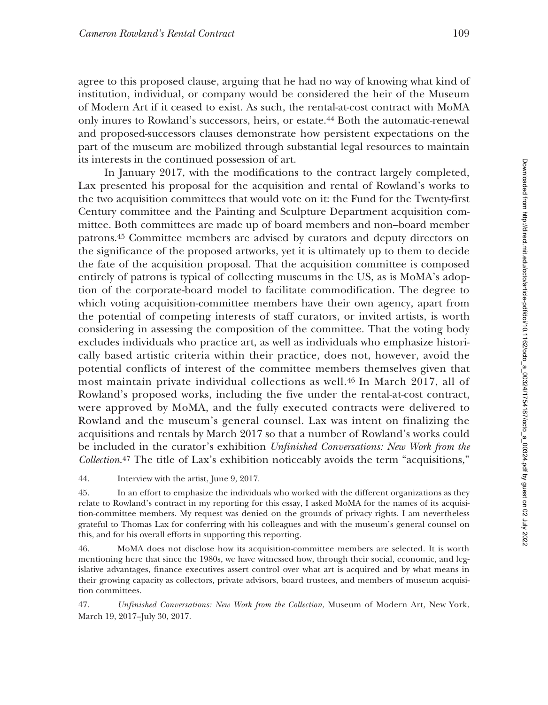agree to this proposed clause, arguing that he had no way of knowing what kind of institution, individual, or company would be considered the heir of the Museum of Modern Art if it ceased to exist. As such, the rental-at-cost contract with MoMA only inures to Rowland's successors, heirs, or estate.44 Both the automatic-renewal and proposed-successors clauses demonstrate how persistent expectations on the part of the museum are mobilized through substantial legal resources to maintain its interests in the continued possession of art.

In January 2017, with the modifications to the contract largely completed, Lax presented his proposal for the acquisition and rental of Rowland's works to the two acquisition committees that would vote on it: the Fund for the Twenty-first Century committee and the Painting and Sculpture Department acquisition committee. Both committees are made up of board members and non–board member patrons.45 Committee members are advised by curators and deputy directors on the significance of the proposed artworks, yet it is ultimately up to them to decide the fate of the acquisition proposal. That the acquisition committee is composed entirely of patrons is typical of collecting museums in the US, as is MoMA's adoption of the corporate-board model to facilitate commodification. The degree to which voting acquisition-committee members have their own agency, apart from the potential of competing interests of staff curators, or invited artists, is worth considering in assessing the composition of the committee. That the voting body excludes individuals who practice art, as well as individuals who emphasize historically based artistic criteria within their practice, does not, however, avoid the potential conflicts of interest of the committee members themselves given that most maintain private individual collections as well.46 In March 2017, all of Rowland's proposed works, including the five under the rental-at-cost contract, were approved by MoMA, and the fully executed contracts were delivered to Rowland and the museum's general counsel. Lax was intent on finalizing the acquisitions and rentals by March 2017 so that a number of Rowland's works could be included in the curator's exhibition *Unfinished Conversations: New Work from the Collection*.47 The title of Lax's exhibition noticeably avoids the term "acquisitions,"

44. Interview with the artist, June 9, 2017.

45. In an effort to emphasize the individuals who worked with the different organizations as they relate to Rowland's contract in my reporting for this essay, I asked MoMA for the names of its acquisition-committee members. My request was denied on the grounds of privacy rights. I am nevertheless grateful to Thomas Lax for conferring with his colleagues and with the museum's general counsel on this, and for his overall efforts in supporting this reporting.

46. MoMA does not disclose how its acquisition-committee members are selected. It is worth mentioning here that since the 1980s, we have witnessed how, through their social, economic, and legislative advantages, finance executives assert control over what art is acquired and by what means in their growing capacity as collectors, private advisors, board trustees, and members of museum acquisition committees.

47. *Unfinished Conversations: New Work from the Collection*, Museum of Modern Art, New York, March 19, 2017–July 30, 2017.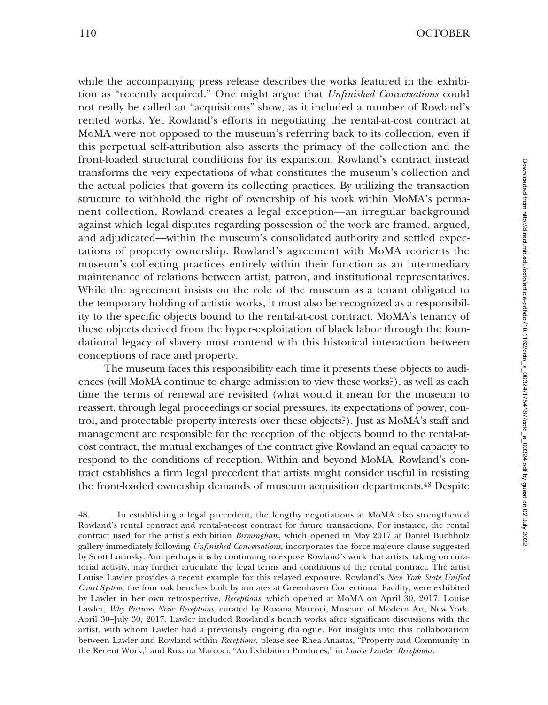while the accompanying press release describes the works featured in the exhibition as "recently acquired." one might argue that *Unfinished Conversations* could not really be called an "acquisitions" show, as it included a number of Rowland's rented works. Yet Rowland's efforts in negotiating the rental-at-cost contract at MoMA were not opposed to the museum's referring back to its collection, even if this perpetual self-attribution also asserts the primacy of the collection and the front-loaded structural conditions for its expansion. Rowland's contract instead transforms the very expectations of what constitutes the museum's collection and the actual policies that govern its collecting practices. By utilizing the transaction structure to withhold the right of ownership of his work within MoMA's permanent collection, Rowland creates a legal exception—an irregular background against which legal disputes regarding possession of the work are framed, argued, and adjudicated—within the museum's consolidated authority and settled expectations of property ownership. Rowland's agreement with MoMA reorients the museum's collecting practices entirely within their function as an intermediary maintenance of relations between artist, patron, and institutional representatives. While the agreement insists on the role of the museum as a tenant obligated to the temporary holding of artistic works, it must also be recognized as a responsibility to the specific objects bound to the rental-at-cost contract. MoMA's tenancy of these objects derived from the hyper-exploitation of black labor through the foundational legacy of slavery must contend with this historical interaction between conceptions of race and property.

The museum faces this responsibility each time it presents these objects to audiences (will MoMA continue to charge admission to view these works?), as well as each time the terms of renewal are revisited (what would it mean for the museum to reassert, through legal proceedings or social pressures, its expectations of power, control, and protectable property interests over these objects?). Just as MoMA's staff and management are responsible for the reception of the objects bound to the rental-atcost contract, the mutual exchanges of the contract give Rowland an equal capacity to respond to the conditions of reception. Within and beyond MoMA, Rowland's contract establishes a firm legal precedent that artists might consider useful in resisting the front-loaded ownership demands of museum acquisition departments.48 Despite

48. In establishing a legal precedent, the lengthy negotiations at MoMA also strengthened Rowland's rental contract and rental-at-cost contract for future transactions. For instance, the rental contract used for the artist's exhibition *Birmingham*, which opened in May 2017 at Daniel Buchholz gallery immediately following *Unfinished Conversations*, incorporates the force majeure clause suggested by Scott Lorinsky. And perhaps it is by continuing to expose Rowland's work that artists, taking on curatorial activity, may further articulate the legal terms and conditions of the rental contract. The artist Louise Lawler provides a recent example for this relayed exposure. Rowland's *New York State Unified Court System,* the four oak benches built by inmates at Greenhaven Correctional Facility, were exhibited by Lawler in her own retrospective, *Receptions*, which opened at MoMA on April 30, 2017. Louise Lawler, *Why Pictures Now: Receptions*, curated by Roxana Marcoci, Museum of Modern Art, New York, April 30–July 30, 2017. Lawler included Rowland's bench works after significant discussions with the artist, with whom Lawler had a previously ongoing dialogue. For insights into this collaboration between Lawler and Rowland within *Receptions*, please see Rhea Anastas, "Property and Community in the Recent Work," and Roxana Marcoci, "An Exhibition Produces," in *Louise Lawler: Receptions*.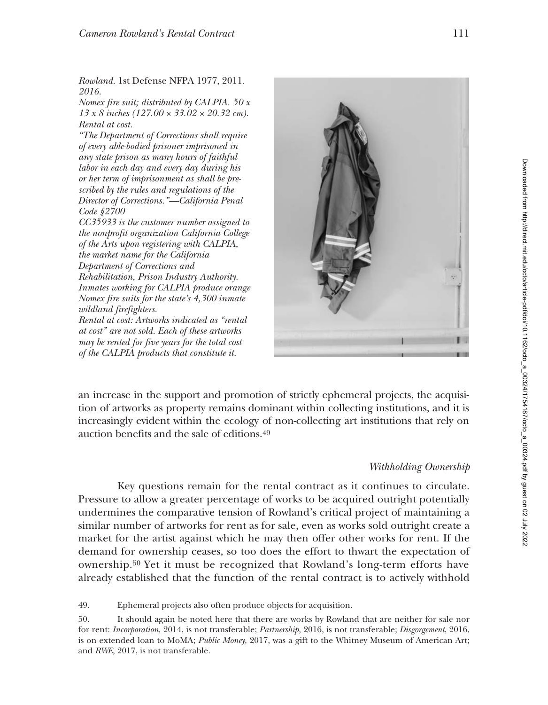*Rowland.* 1st Defense NFPA 1977, 2011. *2016.* 

*Nomex fire suit; distributed by CALPIA. 50 x 13 x 8 inches (127.00 × 33.02 × 20.32 cm). Rental at cost.*

*"The Department of Corrections shall require of every able-bodied prisoner imprisoned in any state prison as many hours of faithful labor in each day and every day during his or her term of imprisonment as shall be prescribed by the rules and regulations of the Director of Corrections."—California Penal Code §2700* 

*CC35933 is the customer number assigned to the nonprofit organization California College of the Arts upon registering with CALPIA, the market name for the California Department of Corrections and Rehabilitation, Prison Industry Authority. Inmates working for CALPIA produce orange*

*Nomex fire suits for the state's 4,300 inmate wildland firefighters.* 

*Rental at cost: Artworks indicated as "rental at cost" are not sold. Each of these artworks may be rented for five years for the total cost of the CALPIA products that constitute it.*



an increase in the support and promotion of strictly ephemeral projects, the acquisition of artworks as property remains dominant within collecting institutions, and it is increasingly evident within the ecology of non-collecting art institutions that rely on auction benefits and the sale of editions.49

#### *Withholding Ownership*

Key questions remain for the rental contract as it continues to circulate. Pressure to allow a greater percentage of works to be acquired outright potentially undermines the comparative tension of Rowland's critical project of maintaining a similar number of artworks for rent as for sale, even as works sold outright create a market for the artist against which he may then offer other works for rent. If the demand for ownership ceases, so too does the effort to thwart the expectation of ownership.50 Yet it must be recognized that Rowland's long-term efforts have already established that the function of the rental contract is to actively withhold

49. Ephemeral projects also often produce objects for acquisition.

50. It should again be noted here that there are works by Rowland that are neither for sale nor for rent: *Incorporation,* 2014, is not transferable; *Partnership,* 2016, is not transferable; *Disgorgement*, 2016, is on extended loan to MoMA; *Public Money,* 2017, was a gift to the Whitney Museum of American Art; and *RWE,* 2017, is not transferable.